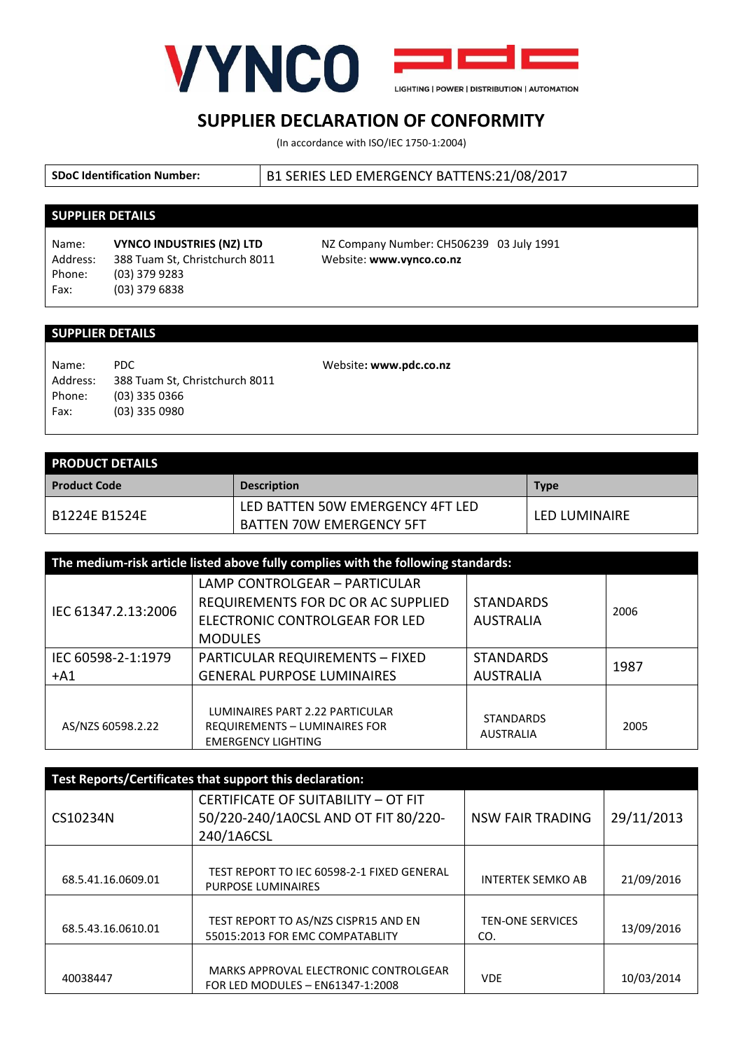

## **SUPPLIER DECLARATION OF CONFORMITY**

(In accordance with ISO/IEC 1750-1:2004)

**SDoC Identification Number:** B1 SERIES LED EMERGENCY BATTENS:21/08/2017

## **SUPPLIER DETAILS**

Address: 388 Tuam St, Christchurch 8011 Website: **www.vynco.co.nz** Phone: (03) 379 9283 Fax: (03) 379 6838

Name: **VYNCO INDUSTRIES (NZ) LTD** NZ Company Number: CH506239 03 July 1991

## **SUPPLIER DETAILS**

Name: PDC Address: 388 Tuam St, Christchurch 8011 Phone: (03) 335 0366 Fax: (03) 335 0980

Website**: www.pdc.co.nz**

| <b>PRODUCT DETAILS</b> |                                  |               |  |  |
|------------------------|----------------------------------|---------------|--|--|
| <b>Product Code</b>    | <b>Description</b>               | <b>Type</b>   |  |  |
| <b>B1224F B1524F</b>   | LED BATTEN 50W EMERGENCY 4FT LED | LFD LUMINAIRF |  |  |
|                        | <b>BATTEN 70W EMERGENCY 5FT</b>  |               |  |  |

| The medium-risk article listed above fully complies with the following standards: |                                                                                                                         |                                      |      |  |  |
|-----------------------------------------------------------------------------------|-------------------------------------------------------------------------------------------------------------------------|--------------------------------------|------|--|--|
| IEC 61347.2.13:2006                                                               | LAMP CONTROLGEAR - PARTICULAR<br>REQUIREMENTS FOR DC OR AC SUPPLIED<br>ELECTRONIC CONTROLGEAR FOR LED<br><b>MODULES</b> | <b>STANDARDS</b><br><b>AUSTRALIA</b> | 2006 |  |  |
| IEC 60598-2-1:1979<br>$+A1$                                                       | <b>PARTICULAR REQUIREMENTS - FIXED</b><br><b>GENERAL PURPOSE LUMINAIRES</b>                                             | <b>STANDARDS</b><br><b>AUSTRALIA</b> | 1987 |  |  |
| AS/NZS 60598.2.22                                                                 | LUMINAIRES PART 2.22 PARTICULAR<br><b>REQUIREMENTS - LUMINAIRES FOR</b><br><b>EMERGENCY LIGHTING</b>                    | <b>STANDARDS</b><br><b>AUSTRALIA</b> | 2005 |  |  |

| Test Reports/Certificates that support this declaration: |                                                                                           |                                |            |  |  |
|----------------------------------------------------------|-------------------------------------------------------------------------------------------|--------------------------------|------------|--|--|
| CS10234N                                                 | CERTIFICATE OF SUITABILITY - OT FIT<br>50/220-240/1A0CSL AND OT FIT 80/220-<br>240/1A6CSL | <b>NSW FAIR TRADING</b>        | 29/11/2013 |  |  |
| 68.5.41.16.0609.01                                       | TEST REPORT TO IEC 60598-2-1 FIXED GENERAL<br><b>PURPOSE LUMINAIRES</b>                   | <b>INTERTEK SEMKO AB</b>       | 21/09/2016 |  |  |
| 68.5.43.16.0610.01                                       | TEST REPORT TO AS/NZS CISPR15 AND EN<br>55015:2013 FOR EMC COMPATABLITY                   | <b>TEN-ONE SERVICES</b><br>CO. | 13/09/2016 |  |  |
| 40038447                                                 | MARKS APPROVAL ELECTRONIC CONTROLGEAR<br>FOR LED MODULES - EN61347-1:2008                 | <b>VDE</b>                     | 10/03/2014 |  |  |